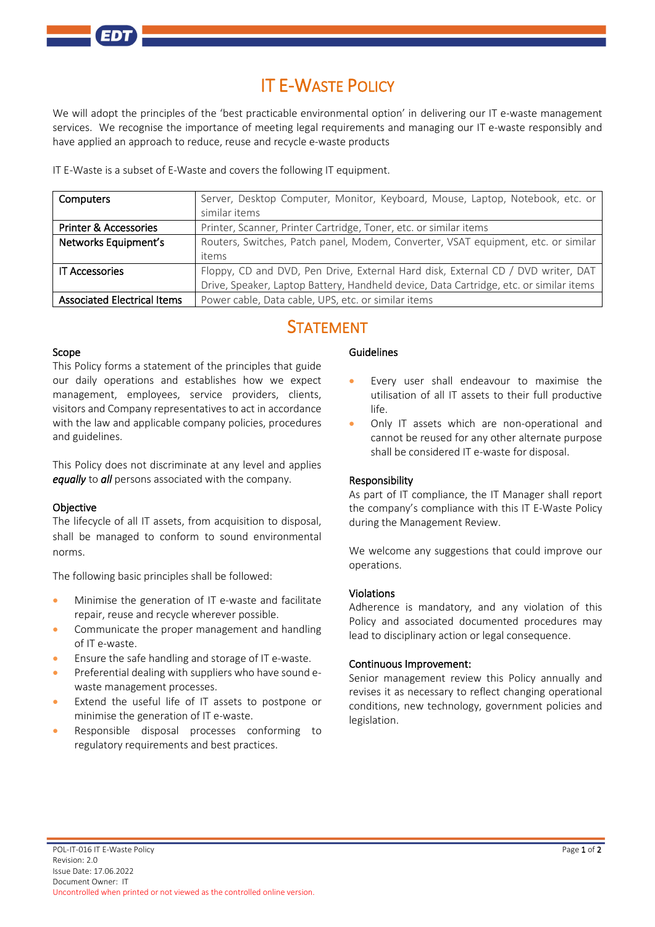# **IT E-WASTE POLICY**

We will adopt the principles of the 'best practicable environmental option' in delivering our IT e-waste management services. We recognise the importance of meeting legal requirements and managing our IT e-waste responsibly and have applied an approach to reduce, reuse and recycle e-waste products

IT E-Waste is a subset of E-Waste and covers the following IT equipment.

| <b>Computers</b>                   | Server, Desktop Computer, Monitor, Keyboard, Mouse, Laptop, Notebook, etc. or          |
|------------------------------------|----------------------------------------------------------------------------------------|
|                                    | similar items                                                                          |
| <b>Printer &amp; Accessories</b>   | Printer, Scanner, Printer Cartridge, Toner, etc. or similar items                      |
| Networks Equipment's               | Routers, Switches, Patch panel, Modem, Converter, VSAT equipment, etc. or similar      |
|                                    | items                                                                                  |
| <b>IT Accessories</b>              | Floppy, CD and DVD, Pen Drive, External Hard disk, External CD / DVD writer, DAT       |
|                                    | Drive, Speaker, Laptop Battery, Handheld device, Data Cartridge, etc. or similar items |
| <b>Associated Electrical Items</b> | Power cable, Data cable, UPS, etc. or similar items                                    |

## **STATEMENT**

#### Scope

This Policy forms a statement of the principles that guide our daily operations and establishes how we expect management, employees, service providers, clients, visitors and Company representatives to act in accordance with the law and applicable company policies, procedures and guidelines.

This Policy does not discriminate at any level and applies *equally* to *all* persons associated with the company.

#### Objective

The lifecycle of all IT assets, from acquisition to disposal, shall be managed to conform to sound environmental norms.

The following basic principles shall be followed:

- Minimise the generation of IT e-waste and facilitate repair, reuse and recycle wherever possible.
- Communicate the proper management and handling of IT e‐waste.
- Ensure the safe handling and storage of IT e-waste.
- Preferential dealing with suppliers who have sound ewaste management processes.
- Extend the useful life of IT assets to postpone or minimise the generation of IT e-waste.
- Responsible disposal processes conforming to regulatory requirements and best practices.

#### Guidelines

- Every user shall endeavour to maximise the utilisation of all IT assets to their full productive life.
- Only IT assets which are non-operational and cannot be reused for any other alternate purpose shall be considered IT e-waste for disposal.

#### Responsibility

As part of IT compliance, the IT Manager shall report the company's compliance with this IT E-Waste Policy during the Management Review.

We welcome any suggestions that could improve our operations.

#### Violations

Adherence is mandatory, and any violation of this Policy and associated documented procedures may lead to disciplinary action or legal consequence.

#### Continuous Improvement:

Senior management review this Policy annually and revises it as necessary to reflect changing operational conditions, new technology, government policies and legislation.